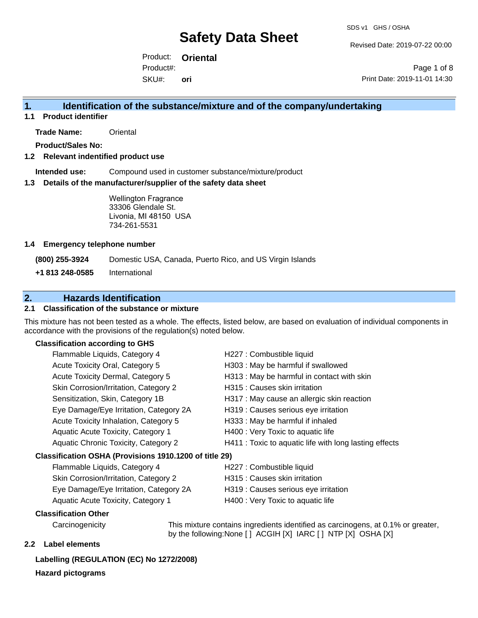Revised Date: 2019-07-22 00:00

Product: **Oriental** SKU#: Product#: **ori**

Page 1 of 8 Print Date: 2019-11-01 14:30

### **1. Identification of the substance/mixture and of the company/undertaking**

**1.1 Product identifier**

**Trade Name:** Oriental

**Product/Sales No:**

#### **1.2 Relevant indentified product use**

**Intended use:** Compound used in customer substance/mixture/product

#### **1.3 Details of the manufacturer/supplier of the safety data sheet**

Wellington Fragrance 33306 Glendale St. Livonia, MI 48150 USA 734-261-5531

#### **1.4 Emergency telephone number**

**(800) 255-3924** Domestic USA, Canada, Puerto Rico, and US Virgin Islands

**+1 813 248-0585** International

# **2. Hazards Identification**

#### **2.1 Classification of the substance or mixture**

This mixture has not been tested as a whole. The effects, listed below, are based on evaluation of individual components in accordance with the provisions of the regulation(s) noted below.

#### **Classification according to GHS**

| Flammable Liquids, Category 4                          | H227 : Combustible liquid                              |
|--------------------------------------------------------|--------------------------------------------------------|
| Acute Toxicity Oral, Category 5                        | H303 : May be harmful if swallowed                     |
| Acute Toxicity Dermal, Category 5                      | H313 : May be harmful in contact with skin             |
| Skin Corrosion/Irritation, Category 2                  | H315 : Causes skin irritation                          |
| Sensitization, Skin, Category 1B                       | H317 : May cause an allergic skin reaction             |
| Eye Damage/Eye Irritation, Category 2A                 | H319 : Causes serious eye irritation                   |
| Acute Toxicity Inhalation, Category 5                  | H333: May be harmful if inhaled                        |
| Aquatic Acute Toxicity, Category 1                     | H400 : Very Toxic to aquatic life                      |
| Aquatic Chronic Toxicity, Category 2                   | H411 : Toxic to aquatic life with long lasting effects |
| Classification OSHA (Provisions 1910.1200 of title 29) |                                                        |
| Flammable Liquids, Category 4                          | H227 : Combustible liquid                              |
|                                                        |                                                        |

Skin Corrosion/Irritation, Category 2 H315 : Causes skin irritation Eye Damage/Eye Irritation, Category 2A H319 : Causes serious eye irritation

- 
- 
- Aquatic Acute Toxicity, Category 1 H400 : Very Toxic to aquatic life

#### **Classification Other**

Carcinogenicity This mixture contains ingredients identified as carcinogens, at 0.1% or greater, by the following:None [ ] ACGIH [X] IARC [ ] NTP [X] OSHA [X]

#### **2.2 Label elements**

#### **Labelling (REGULATION (EC) No 1272/2008)**

**Hazard pictograms**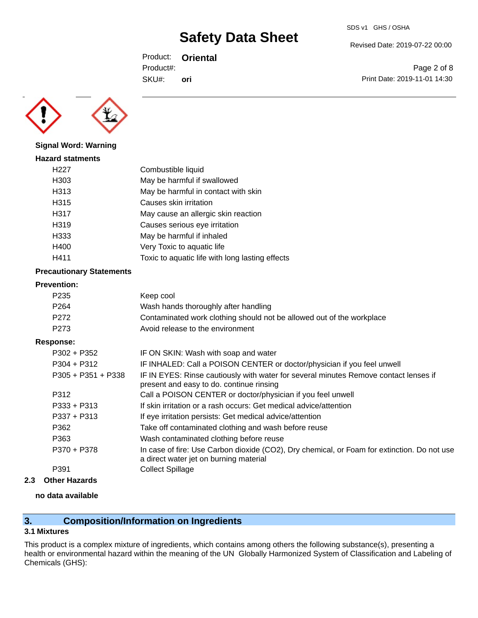Revised Date: 2019-07-22 00:00

Product: **Oriental** SKU#: Product#: **ori**

Page 2 of 8 Print Date: 2019-11-01 14:30



**Signal Word: Warning**

| <b>Hazard statments</b> |                                                 |
|-------------------------|-------------------------------------------------|
| H <sub>22</sub> 7       | Combustible liquid                              |
| H303                    | May be harmful if swallowed                     |
| H313                    | May be harmful in contact with skin             |
| H315                    | Causes skin irritation                          |
| H317                    | May cause an allergic skin reaction             |
| H319                    | Causes serious eye irritation                   |
| H333                    | May be harmful if inhaled                       |
| H400                    | Very Toxic to aquatic life                      |
| H411                    | Toxic to aquatic life with long lasting effects |
|                         |                                                 |

#### **Precautionary Statements**

#### **Prevention:**

| Keep cool                                                                                                                        |
|----------------------------------------------------------------------------------------------------------------------------------|
| Wash hands thoroughly after handling                                                                                             |
| Contaminated work clothing should not be allowed out of the workplace                                                            |
| Avoid release to the environment                                                                                                 |
|                                                                                                                                  |
| IF ON SKIN: Wash with soap and water                                                                                             |
| IF INHALED: Call a POISON CENTER or doctor/physician if you feel unwell                                                          |
| IF IN EYES: Rinse cautiously with water for several minutes Remove contact lenses if<br>present and easy to do. continue rinsing |
| Call a POISON CENTER or doctor/physician if you feel unwell                                                                      |
|                                                                                                                                  |

| P333 + P313 | If skin irritation or a rash occurs: Get medical advice/attention |
|-------------|-------------------------------------------------------------------|
| P337 + P313 | If eye irritation persists: Get medical advice/attention          |

| - 77 | if you interfer porsists. Our modiodi duvice/attention |
|------|--------------------------------------------------------|
|      | Take off contaminated clothing and wash before reuse   |

P362 Take off contaminated clothing and wash before reuse

| P363        | Wash contaminated clothing before reuse                                                                                               |
|-------------|---------------------------------------------------------------------------------------------------------------------------------------|
| P370 + P378 | In case of fire: Use Carbon dioxide (CO2), Dry chemical, or Foam for extinction. Do not use<br>a direct water jet on burning material |
| P391        | Collect Spillage                                                                                                                      |

**2.3 Other Hazards**

#### **no data available**

# **3. Composition/Information on Ingredients**

#### **3.1 Mixtures**

This product is a complex mixture of ingredients, which contains among others the following substance(s), presenting a health or environmental hazard within the meaning of the UN Globally Harmonized System of Classification and Labeling of Chemicals (GHS):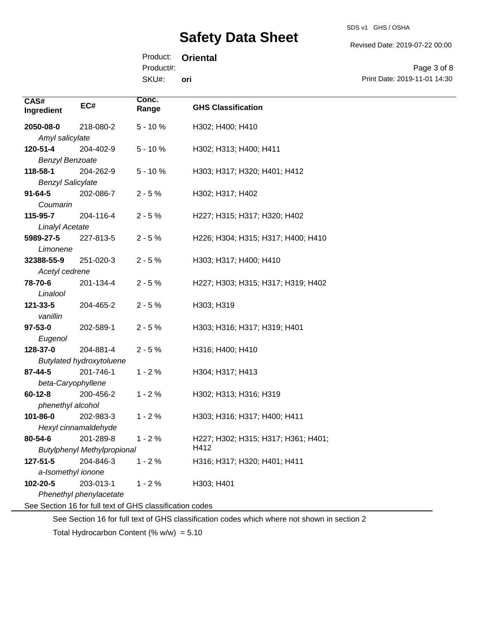SDS v1 GHS / OSHA

Revised Date: 2019-07-22 00:00

Product: **Oriental** Product#:

SKU#: **ori**

Page 3 of 8 Print Date: 2019-11-01 14:30

| CAS#<br>Ingredient       | EC#                                             | Conc.<br>Range                                           | <b>GHS Classification</b>                   |
|--------------------------|-------------------------------------------------|----------------------------------------------------------|---------------------------------------------|
| 2050-08-0                | 218-080-2                                       | $5 - 10%$                                                | H302; H400; H410                            |
| Amyl salicylate          |                                                 |                                                          |                                             |
| 120-51-4                 | 204-402-9                                       | $5 - 10%$                                                | H302; H313; H400; H411                      |
| <b>Benzyl Benzoate</b>   |                                                 |                                                          |                                             |
| 118-58-1                 | 204-262-9                                       | $5 - 10%$                                                | H303; H317; H320; H401; H412                |
| <b>Benzyl Salicylate</b> |                                                 |                                                          |                                             |
| $91 - 64 - 5$            | 202-086-7                                       | $2 - 5%$                                                 | H302; H317; H402                            |
| Coumarin                 |                                                 |                                                          |                                             |
| 115-95-7                 | 204-116-4                                       | $2 - 5%$                                                 | H227; H315; H317; H320; H402                |
| <b>Linalyl Acetate</b>   |                                                 |                                                          |                                             |
| 5989-27-5                | 227-813-5                                       | $2 - 5%$                                                 | H226; H304; H315; H317; H400; H410          |
| Limonene                 |                                                 |                                                          |                                             |
| 32388-55-9               | 251-020-3                                       | $2 - 5%$                                                 | H303; H317; H400; H410                      |
| Acetyl cedrene           |                                                 |                                                          |                                             |
| 78-70-6                  | 201-134-4                                       | $2 - 5%$                                                 | H227; H303; H315; H317; H319; H402          |
| Linalool                 |                                                 |                                                          |                                             |
| 121-33-5                 | 204-465-2                                       | $2 - 5%$                                                 | H303; H319                                  |
| vanillin                 |                                                 |                                                          |                                             |
| $97 - 53 - 0$            | 202-589-1                                       | $2 - 5%$                                                 | H303; H316; H317; H319; H401                |
| Eugenol                  |                                                 |                                                          |                                             |
| 128-37-0                 | 204-881-4                                       | $2 - 5%$                                                 | H316; H400; H410                            |
|                          | <b>Butylated hydroxytoluene</b>                 |                                                          |                                             |
| 87-44-5                  | 201-746-1                                       | $1 - 2%$                                                 | H304; H317; H413                            |
| beta-Caryophyllene       |                                                 |                                                          |                                             |
| $60 - 12 - 8$            | 200-456-2                                       | $1 - 2%$                                                 | H302; H313; H316; H319                      |
| phenethyl alcohol        |                                                 |                                                          |                                             |
| 101-86-0                 | 202-983-3                                       | $1 - 2%$                                                 | H303; H316; H317; H400; H411                |
|                          | Hexyl cinnamaldehyde                            |                                                          |                                             |
| 80-54-6                  | 201-289-8                                       | $1 - 2%$                                                 | H227; H302; H315; H317; H361; H401;<br>H412 |
| 127-51-5                 | <b>Butylphenyl Methylpropional</b><br>204-846-3 | $1 - 2%$                                                 | H316; H317; H320; H401; H411                |
| a-Isomethyl ionone       |                                                 |                                                          |                                             |
| 102-20-5                 | 203-013-1                                       | $1 - 2%$                                                 | H303; H401                                  |
|                          | Phenethyl phenylacetate                         |                                                          |                                             |
|                          |                                                 | See Section 16 for full text of GHS classification codes |                                             |

See Section 16 for full text of GHS classification codes which where not shown in section 2

Total Hydrocarbon Content (%  $w/w$ ) = 5.10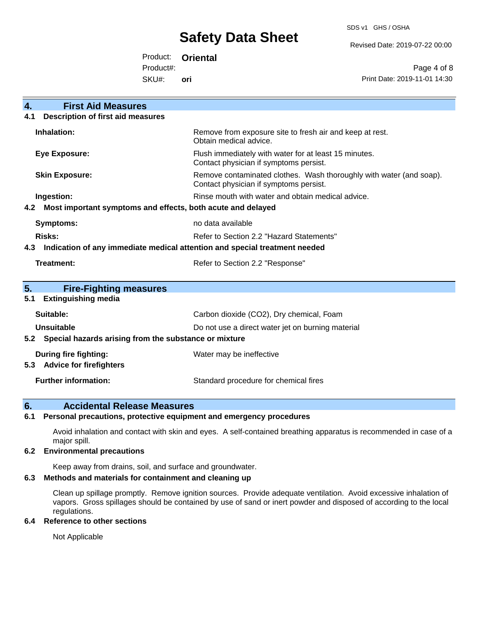SDS v1 GHS / OSHA

Revised Date: 2019-07-22 00:00

Product: **Oriental** Product#:

SKU#: **ori**

Page 4 of 8 Print Date: 2019-11-01 14:30

| $\overline{4}$ .<br><b>First Aid Measures</b>                                     |                                                                                                               |
|-----------------------------------------------------------------------------------|---------------------------------------------------------------------------------------------------------------|
| <b>Description of first aid measures</b><br>4.1                                   |                                                                                                               |
| Inhalation:                                                                       | Remove from exposure site to fresh air and keep at rest.<br>Obtain medical advice.                            |
| <b>Eye Exposure:</b>                                                              | Flush immediately with water for at least 15 minutes.<br>Contact physician if symptoms persist.               |
| <b>Skin Exposure:</b>                                                             | Remove contaminated clothes. Wash thoroughly with water (and soap).<br>Contact physician if symptoms persist. |
| Ingestion:                                                                        | Rinse mouth with water and obtain medical advice.                                                             |
| Most important symptoms and effects, both acute and delayed<br>4.2                |                                                                                                               |
| <b>Symptoms:</b>                                                                  | no data available                                                                                             |
| <b>Risks:</b>                                                                     | Refer to Section 2.2 "Hazard Statements"                                                                      |
| Indication of any immediate medical attention and special treatment needed<br>4.3 |                                                                                                               |
| <b>Treatment:</b>                                                                 | Refer to Section 2.2 "Response"                                                                               |
| 5.<br><b>Fire-Fighting measures</b>                                               |                                                                                                               |
| <b>Extinguishing media</b><br>5.1                                                 |                                                                                                               |
| Suitable:                                                                         | Carbon dioxide (CO2), Dry chemical, Foam                                                                      |
| <b>Unsuitable</b>                                                                 | Do not use a direct water jet on burning material                                                             |
| 5.2 Special hazards arising from the substance or mixture                         |                                                                                                               |
| <b>During fire fighting:</b>                                                      | Water may be ineffective                                                                                      |
| <b>Advice for firefighters</b><br>5.3                                             |                                                                                                               |
| <b>Further information:</b>                                                       | Standard procedure for chemical fires                                                                         |

### **6. Accidental Release Measures**

#### **6.1 Personal precautions, protective equipment and emergency procedures**

Avoid inhalation and contact with skin and eyes. A self-contained breathing apparatus is recommended in case of a major spill.

#### **6.2 Environmental precautions**

Keep away from drains, soil, and surface and groundwater.

#### **6.3 Methods and materials for containment and cleaning up**

Clean up spillage promptly. Remove ignition sources. Provide adequate ventilation. Avoid excessive inhalation of vapors. Gross spillages should be contained by use of sand or inert powder and disposed of according to the local regulations.

#### **6.4 Reference to other sections**

Not Applicable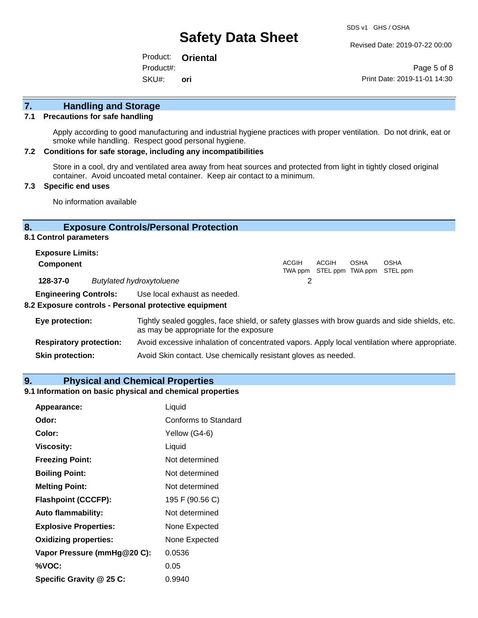Revised Date: 2019-07-22 00:00

Product: **Oriental** SKU#: Product#: **ori**

Page 5 of 8 Print Date: 2019-11-01 14:30

# **7. Handling and Storage**

#### **7.1 Precautions for safe handling**

Apply according to good manufacturing and industrial hygiene practices with proper ventilation. Do not drink, eat or smoke while handling. Respect good personal hygiene.

#### **7.2 Conditions for safe storage, including any incompatibilities**

Store in a cool, dry and ventilated area away from heat sources and protected from light in tightly closed original container. Avoid uncoated metal container. Keep air contact to a minimum.

#### **7.3 Specific end uses**

No information available

#### **8. Exposure Controls/Personal Protection**

#### **8.1 Control parameters**

| <b>Exposure Limits:</b>                     |  |                              |       |       |      |                                           |
|---------------------------------------------|--|------------------------------|-------|-------|------|-------------------------------------------|
| <b>Component</b>                            |  |                              | ACGIH | ACGIH | OSHA | OSHA<br>TWA ppm STEL ppm TWA ppm STEL ppm |
| 128-37-0<br><b>Butylated hydroxytoluene</b> |  |                              |       |       |      |                                           |
| <b>Engineering Controls:</b>                |  | Use local exhaust as needed. |       |       |      |                                           |

## **8.2 Exposure controls - Personal protective equipment**

| Eye protection:                | Tightly sealed goggles, face shield, or safety glasses with brow guards and side shields, etc.<br>as may be appropriate for the exposure |
|--------------------------------|------------------------------------------------------------------------------------------------------------------------------------------|
| <b>Respiratory protection:</b> | Avoid excessive inhalation of concentrated vapors. Apply local ventilation where appropriate.                                            |
| <b>Skin protection:</b>        | Avoid Skin contact. Use chemically resistant gloves as needed.                                                                           |

#### **9. Physical and Chemical Properties**

### **9.1 Information on basic physical and chemical properties**

| Appearance:                  | Liquid               |
|------------------------------|----------------------|
| Odor:                        | Conforms to Standard |
| Color:                       | Yellow (G4-6)        |
| <b>Viscosity:</b>            | Liquid               |
| <b>Freezing Point:</b>       | Not determined       |
| <b>Boiling Point:</b>        | Not determined       |
| <b>Melting Point:</b>        | Not determined       |
| <b>Flashpoint (CCCFP):</b>   | 195 F (90.56 C)      |
| <b>Auto flammability:</b>    | Not determined       |
| <b>Explosive Properties:</b> | None Expected        |
| <b>Oxidizing properties:</b> | None Expected        |
| Vapor Pressure (mmHg@20 C):  | 0.0536               |
| %VOC:                        | 0.05                 |
| Specific Gravity @ 25 C:     | 0.9940               |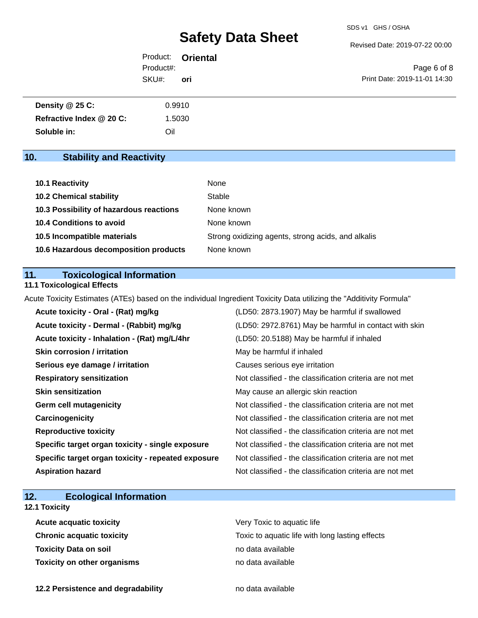Revised Date: 2019-07-22 00:00

|           | Product: <b>Oriental</b> |                              |
|-----------|--------------------------|------------------------------|
| Product#: |                          | Page 6 of 8                  |
| SKU#:     | ori                      | Print Date: 2019-11-01 14:30 |

| Density @ 25 C:          | 0.9910 |
|--------------------------|--------|
| Refractive Index @ 20 C: | 1.5030 |
| Soluble in:              | Oil    |

# **10. Stability and Reactivity**

| 10.1 Reactivity                         | None                                               |
|-----------------------------------------|----------------------------------------------------|
| <b>10.2 Chemical stability</b>          | Stable                                             |
| 10.3 Possibility of hazardous reactions | None known                                         |
| 10.4 Conditions to avoid                | None known                                         |
| 10.5 Incompatible materials             | Strong oxidizing agents, strong acids, and alkalis |
| 10.6 Hazardous decomposition products   | None known                                         |

### **11. Toxicological Information**

### **11.1 Toxicological Effects**

Acute Toxicity Estimates (ATEs) based on the individual Ingredient Toxicity Data utilizing the "Additivity Formula"

| Acute toxicity - Oral - (Rat) mg/kg                | (LD50: 2873.1907) May be harmful if swallowed            |
|----------------------------------------------------|----------------------------------------------------------|
| Acute toxicity - Dermal - (Rabbit) mg/kg           | (LD50: 2972.8761) May be harmful in contact with skin    |
| Acute toxicity - Inhalation - (Rat) mg/L/4hr       | (LD50: 20.5188) May be harmful if inhaled                |
| <b>Skin corrosion / irritation</b>                 | May be harmful if inhaled                                |
| Serious eye damage / irritation                    | Causes serious eye irritation                            |
| <b>Respiratory sensitization</b>                   | Not classified - the classification criteria are not met |
| <b>Skin sensitization</b>                          | May cause an allergic skin reaction                      |
| <b>Germ cell mutagenicity</b>                      | Not classified - the classification criteria are not met |
| Carcinogenicity                                    | Not classified - the classification criteria are not met |
| <b>Reproductive toxicity</b>                       | Not classified - the classification criteria are not met |
| Specific target organ toxicity - single exposure   | Not classified - the classification criteria are not met |
| Specific target organ toxicity - repeated exposure | Not classified - the classification criteria are not met |
| <b>Aspiration hazard</b>                           | Not classified - the classification criteria are not met |

# **12. Ecological Information**

### **12.1 Toxicity**

| <b>Acute acquatic toxicity</b> | Very Toxic to aquatic life                      |
|--------------------------------|-------------------------------------------------|
| Chronic acquatic toxicity      | Toxic to aquatic life with long lasting effects |
| Toxicity Data on soil          | no data available                               |
| Toxicity on other organisms    | no data available                               |

**12.2 Persistence and degradability no data available**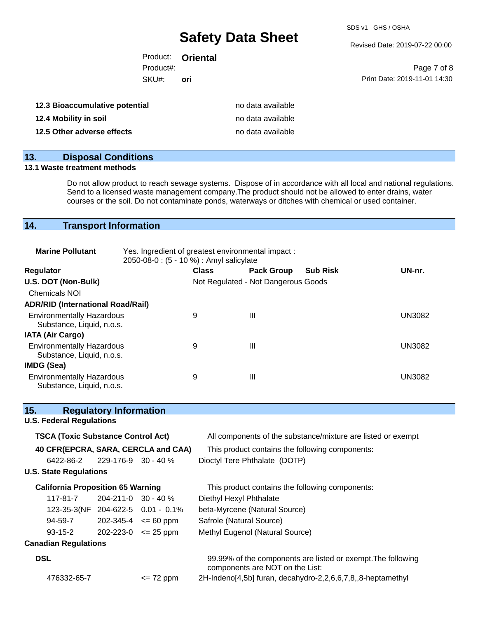SDS v1 GHS / OSHA

Revised Date: 2019-07-22 00:00

| Product: <b>Oriental</b> |                   |                              |
|--------------------------|-------------------|------------------------------|
| Product#:                |                   | Page 7 of 8                  |
| SKU#:                    | ori               | Print Date: 2019-11-01 14:30 |
|                          |                   |                              |
| ccumulative notential    | no data available |                              |

| 12.3 Bioaccumulative potential | no data available |
|--------------------------------|-------------------|
| 12.4 Mobility in soil          | no data available |
| 12.5 Other adverse effects     | no data available |

# **13. Disposal Conditions**

#### **13.1 Waste treatment methods**

Do not allow product to reach sewage systems. Dispose of in accordance with all local and national regulations. Send to a licensed waste management company.The product should not be allowed to enter drains, water courses or the soil. Do not contaminate ponds, waterways or ditches with chemical or used container.

### **14. Transport Information**

| <b>Marine Pollutant</b>                                       | Yes. Ingredient of greatest environmental impact:<br>2050-08-0 : (5 - 10 %) : Amyl salicylate |              |                                     |                 |               |
|---------------------------------------------------------------|-----------------------------------------------------------------------------------------------|--------------|-------------------------------------|-----------------|---------------|
| <b>Regulator</b>                                              |                                                                                               | <b>Class</b> | <b>Pack Group</b>                   | <b>Sub Risk</b> | UN-nr.        |
| U.S. DOT (Non-Bulk)                                           |                                                                                               |              | Not Regulated - Not Dangerous Goods |                 |               |
| <b>Chemicals NOI</b>                                          |                                                                                               |              |                                     |                 |               |
| <b>ADR/RID (International Road/Rail)</b>                      |                                                                                               |              |                                     |                 |               |
| <b>Environmentally Hazardous</b><br>Substance, Liquid, n.o.s. |                                                                                               | 9            | Ш                                   |                 | <b>UN3082</b> |
| <b>IATA (Air Cargo)</b>                                       |                                                                                               |              |                                     |                 |               |
| <b>Environmentally Hazardous</b><br>Substance, Liquid, n.o.s. |                                                                                               | 9            | Ш                                   |                 | <b>UN3082</b> |
| IMDG (Sea)                                                    |                                                                                               |              |                                     |                 |               |
| <b>Environmentally Hazardous</b><br>Substance, Liquid, n.o.s. |                                                                                               | 9            | Ш                                   |                 | <b>UN3082</b> |

| 15.<br><b>Regulatory Information</b>      |                                                              |
|-------------------------------------------|--------------------------------------------------------------|
| <b>U.S. Federal Regulations</b>           |                                                              |
| <b>TSCA (Toxic Substance Control Act)</b> | All components of the substance/mixture are listed or exempt |
| 40 CFR(EPCRA, SARA, CERCLA and CAA)       | This product contains the following components:              |
| $6422 - 86 - 2$ 229-176-9 30 - 40 %       | Dioctyl Tere Phthalate (DOTP)                                |
| <b>U.S. State Regulations</b>             |                                                              |

| <b>California Proposition 65 Warning</b> |                                   |                                     | This product contains the following components:                                                 |  |
|------------------------------------------|-----------------------------------|-------------------------------------|-------------------------------------------------------------------------------------------------|--|
| 117-81-7                                 |                                   | $204 - 211 - 0$ 30 - 40 %           | Diethyl Hexyl Phthalate                                                                         |  |
|                                          | 123-35-3(NF 204-622-5 0.01 - 0.1% |                                     | beta-Myrcene (Natural Source)                                                                   |  |
| 94-59-7                                  | 202-345-4                         | $\Leftarrow$ 60 ppm                 | Safrole (Natural Source)                                                                        |  |
| $93 - 15 - 2$                            |                                   | $202 - 223 - 0 \leq 25 \text{ ppm}$ | Methyl Eugenol (Natural Source)                                                                 |  |
| <b>Canadian Regulations</b>              |                                   |                                     |                                                                                                 |  |
| <b>DSL</b>                               |                                   |                                     | 99.99% of the components are listed or exempt. The following<br>components are NOT on the List: |  |
| 476332-65-7                              |                                   | $\leq$ 72 ppm                       | 2H-Indeno[4,5b] furan, decahydro-2,2,6,6,7,8,,8-heptamethyl                                     |  |